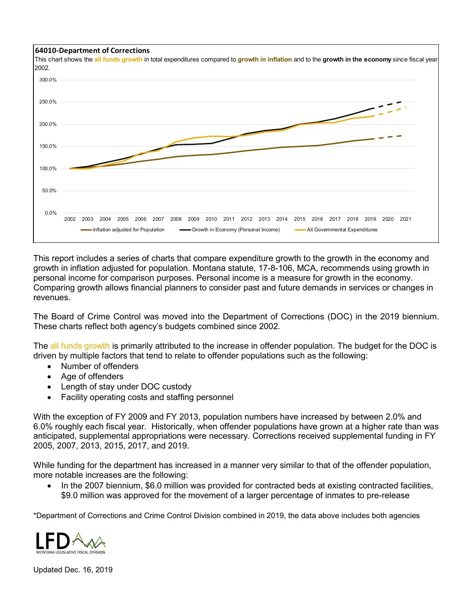



This report includes a series of charts that compare expenditure growth to the growth in the economy and growth in inflation adjusted for population. Montana statute, 17-8-106, MCA, recommends using growth in personal income for comparison purposes. Personal income is a measure for growth in the economy. Comparing growth allows financial planners to consider past and future demands in services or changes in revenues.

The Board of Crime Control was moved into the Department of Corrections (DOC) in the 2019 biennium. These charts reflect both agency's budgets combined since 2002.

The all funds growth is primarily attributed to the increase in offender population. The budget for the DOC is driven by multiple factors that tend to relate to offender populations such as the following:

- Number of offenders
- Age of offenders
- Length of stay under DOC custody
- Facility operating costs and staffing personnel

With the exception of FY 2009 and FY 2013, population numbers have increased by between 2.0% and 6.0% roughly each fiscal year. Historically, when offender populations have grown at a higher rate than was anticipated, supplemental appropriations were necessary. Corrections received supplemental funding in FY 2005, 2007, 2013, 2015, 2017, and 2019.

While funding for the department has increased in a manner very similar to that of the offender population, more notable increases are the following:

• In the 2007 biennium, \$6.0 million was provided for contracted beds at existing contracted facilities, \$9.0 million was approved for the movement of a larger percentage of inmates to pre-release

\*Department of Corrections and Crime Control Division combined in 2019, the data above includes both agencies



Updated Dec. 16, 2019